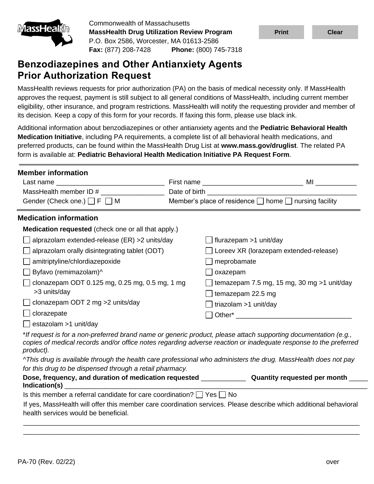

Commonwealth of Massachusetts **MassHealth Drug Utilization Review Program** P.O. Box 2586, Worcester, MA 01613-2586 **Fax:** (877) 208-7428 **Phone:** (800) 745-7318

# **Benzodiazepines and Other Antianxiety Agents Prior Authorization Request**

MassHealth reviews requests for prior authorization (PA) on the basis of medical necessity only. If MassHealth approves the request, payment is still subject to all general conditions of MassHealth, including current member eligibility, other insurance, and program restrictions. MassHealth will notify the requesting provider and member of its decision. Keep a copy of this form for your records. If faxing this form, please use black ink.

Additional information about benzodiazepines or other antianxiety agents and the **Pediatric Behavioral Health Medication Initiative**, including PA requirements, a complete list of all behavioral health medications, and preferred products, can be found within the MassHealth Drug List at **www.mass.gov/druglist**. The related PA form is available at: **[Pediatric Behavioral Health Medication Initiative PA Request Form](https://mhdl.pharmacy.services.conduent.com/MHDL/pubpa.do)**.

| <b>Member information</b>                                                                                                                                                                                                      |               |                                                                                                                   |
|--------------------------------------------------------------------------------------------------------------------------------------------------------------------------------------------------------------------------------|---------------|-------------------------------------------------------------------------------------------------------------------|
| Last name that the contract of the contract of the contract of the contract of the contract of the contract of the contract of the contract of the contract of the contract of the contract of the contract of the contract of |               | MI                                                                                                                |
| MassHealth member ID #                                                                                                                                                                                                         | Date of birth |                                                                                                                   |
| Gender (Check one.) $\Box$ F $\Box$ M                                                                                                                                                                                          |               | Member's place of residence $\Box$ home $\Box$ nursing facility                                                   |
| <b>Medication information</b>                                                                                                                                                                                                  |               |                                                                                                                   |
| <b>Medication requested</b> (check one or all that apply.)                                                                                                                                                                     |               |                                                                                                                   |
| alprazolam extended-release (ER) >2 units/day                                                                                                                                                                                  |               | flurazepam >1 unit/day                                                                                            |
| $\Box$ alprazolam orally disintegrating tablet (ODT)                                                                                                                                                                           |               | □ Loreev XR (lorazepam extended-release)                                                                          |
| $\Box$ amitriptyline/chlordiazepoxide                                                                                                                                                                                          |               | meprobamate                                                                                                       |
| Byfavo (remimazolam)^                                                                                                                                                                                                          |               | oxazepam                                                                                                          |
| clonazepam ODT 0.125 mg, 0.25 mg, 0.5 mg, 1 mg                                                                                                                                                                                 |               | $\Box$ temazepam 7.5 mg, 15 mg, 30 mg >1 unit/day                                                                 |
| >3 units/day                                                                                                                                                                                                                   |               | temazepam 22.5 mg                                                                                                 |
| clonazepam ODT 2 mg > 2 units/day                                                                                                                                                                                              |               | triazolam >1 unit/day                                                                                             |
| clorazepate                                                                                                                                                                                                                    |               | Other* The Controller                                                                                             |
| estazolam >1 unit/day                                                                                                                                                                                                          |               |                                                                                                                   |
|                                                                                                                                                                                                                                |               | $*$ If request is for a non-proferred brand name or generic product. please attach supporting decumentation (e.g. |

\**If request is for a non-preferred brand name or generic product, please attach supporting documentation (e.g., copies of medical records and/or office notes regarding adverse reaction or inadequate response to the preferred product).*

*^This drug is available through the health care professional who administers the drug. MassHealth does not pay for this drug to be dispensed through a retail pharmacy.*

| Dose, frequency, and duration of medication requested<br>Indication(s)          | Quantity requested per month |
|---------------------------------------------------------------------------------|------------------------------|
| Is this member a referral candidate for care coordination? $\Box$ Yes $\Box$ No |                              |

If yes, MassHealth will offer this member care coordination services. Please describe which additional behavioral health services would be beneficial.

\_\_\_\_\_\_\_\_\_\_\_\_\_\_\_\_\_\_\_\_\_\_\_\_\_\_\_\_\_\_\_\_\_\_\_\_\_\_\_\_\_\_\_\_\_\_\_\_\_\_\_\_\_\_\_\_\_\_\_\_\_\_\_\_\_\_\_\_\_\_\_\_\_\_\_\_\_\_\_\_\_\_\_\_\_\_\_\_\_\_ \_\_\_\_\_\_\_\_\_\_\_\_\_\_\_\_\_\_\_\_\_\_\_\_\_\_\_\_\_\_\_\_\_\_\_\_\_\_\_\_\_\_\_\_\_\_\_\_\_\_\_\_\_\_\_\_\_\_\_\_\_\_\_\_\_\_\_\_\_\_\_\_\_\_\_\_\_\_\_\_\_\_\_\_\_\_\_\_\_\_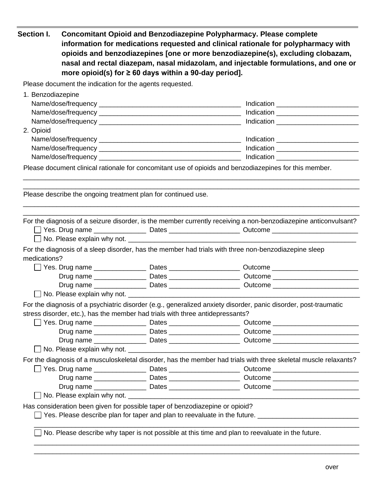| Section I.        | more opioid(s) for $\geq 60$ days within a 90-day period].                    | <b>Concomitant Opioid and Benzodiazepine Polypharmacy. Please complete</b><br>information for medications requested and clinical rationale for polypharmacy with<br>opioids and benzodiazepines [one or more benzodiazepine(s), excluding clobazam,<br>nasal and rectal diazepam, nasal midazolam, and injectable formulations, and one or |
|-------------------|-------------------------------------------------------------------------------|--------------------------------------------------------------------------------------------------------------------------------------------------------------------------------------------------------------------------------------------------------------------------------------------------------------------------------------------|
|                   | Please document the indication for the agents requested.                      |                                                                                                                                                                                                                                                                                                                                            |
| 1. Benzodiazepine |                                                                               |                                                                                                                                                                                                                                                                                                                                            |
|                   |                                                                               |                                                                                                                                                                                                                                                                                                                                            |
|                   |                                                                               |                                                                                                                                                                                                                                                                                                                                            |
|                   |                                                                               |                                                                                                                                                                                                                                                                                                                                            |
| 2. Opioid         |                                                                               |                                                                                                                                                                                                                                                                                                                                            |
|                   |                                                                               |                                                                                                                                                                                                                                                                                                                                            |
|                   |                                                                               |                                                                                                                                                                                                                                                                                                                                            |
|                   |                                                                               |                                                                                                                                                                                                                                                                                                                                            |
|                   | Please describe the ongoing treatment plan for continued use.                 |                                                                                                                                                                                                                                                                                                                                            |
|                   |                                                                               | For the diagnosis of a seizure disorder, is the member currently receiving a non-benzodiazepine anticonvulsant?                                                                                                                                                                                                                            |
|                   |                                                                               | □ Yes. Drug name _____________________Dates _________________________Outcome _________________________________                                                                                                                                                                                                                             |
| medications?      |                                                                               | For the diagnosis of a sleep disorder, has the member had trials with three non-benzodiazepine sleep<br>□ Yes. Drug name ___________________ Dates ______________________ Outcome _________________________                                                                                                                                |
|                   |                                                                               | Drug name ___________________Dates __________________________Outcome _______________________________                                                                                                                                                                                                                                       |
|                   |                                                                               |                                                                                                                                                                                                                                                                                                                                            |
|                   | stress disorder, etc.), has the member had trials with three antidepressants? | For the diagnosis of a psychiatric disorder (e.g., generalized anxiety disorder, panic disorder, post-traumatic<br>□ Yes. Drug name ___________________ Dates ______________________ Outcome _________________________<br>Drug name ____________________Dates __________________________Outcome ______________________________             |
|                   |                                                                               |                                                                                                                                                                                                                                                                                                                                            |
|                   |                                                                               | For the diagnosis of a musculoskeletal disorder, has the member had trials with three skeletal muscle relaxants?                                                                                                                                                                                                                           |
|                   |                                                                               | □ Yes. Drug name _____________________ Dates _______________________ Outcome ____________________________                                                                                                                                                                                                                                  |
|                   |                                                                               | Drug name ____________________Dates __________________________Outcome ______________________________                                                                                                                                                                                                                                       |
|                   |                                                                               | Drug name ____________________Dates __________________________Outcome _____________________________                                                                                                                                                                                                                                        |
|                   |                                                                               |                                                                                                                                                                                                                                                                                                                                            |
|                   | Has consideration been given for possible taper of benzodiazepine or opioid?  | Yes. Please describe plan for taper and plan to reevaluate in the future. <u>The manus and the second</u> serves the s                                                                                                                                                                                                                     |
|                   |                                                                               | No. Please describe why taper is not possible at this time and plan to reevaluate in the future.                                                                                                                                                                                                                                           |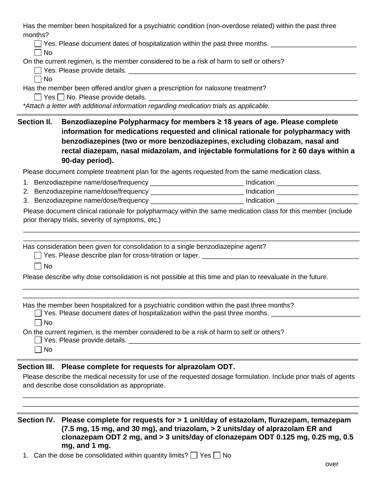Has the member been hospitalized for a psychiatric condition (non-overdose related) within the past three months?

□ Yes. Please document dates of hospitalization within the past three months. \_\_\_\_\_\_\_\_\_\_\_\_\_\_\_\_\_\_\_\_\_\_\_\_\_\_\_\_\_\_\_\_

 $\Box$  No

On the current regimen, is the member considered to be a risk of harm to self or others?

 $\Box$  Yes. Please provide details.  $\Box$  No

Has the member been offered and/or given a prescription for naloxone treatment?

 $\Box$  Yes  $\Box$  No. Please provide details.  $\Box$ 

*\*Attach a letter with additional information regarding medication trials as applicable.*

**Section II. Benzodiazepine Polypharmacy for members ≥ 18 years of age. Please complete information for medications requested and clinical rationale for polypharmacy with benzodiazepines (two or more benzodiazepines, excluding clobazam, nasal and rectal diazepam, nasal midazolam, and injectable formulations for ≥ 60 days within a 90-day period).**

Please document complete treatment plan for the agents requested from the same medication class.

- 1. Benzodiazepine name/dose/frequency \_\_\_\_\_\_\_\_\_\_\_\_\_\_\_\_\_\_\_\_\_\_\_\_\_\_\_\_\_\_\_\_\_\_\_ Indication
- 2. Benzodiazepine name/dose/frequency \_\_\_\_\_\_\_\_\_\_\_\_\_\_\_\_\_\_\_\_\_\_\_\_\_\_\_\_\_\_\_ Indication \_\_\_\_\_\_\_\_\_\_\_\_\_\_\_\_\_\_\_\_\_\_\_\_\_\_\_\_\_
- 3. Benzodiazepine name/dose/frequency \_\_\_\_\_\_\_\_\_\_\_\_\_\_\_\_\_\_\_\_\_\_\_\_\_\_\_\_\_\_ Indication \_\_\_\_\_\_\_\_\_\_\_\_\_\_\_\_\_\_\_\_

Please document clinical rationale for polypharmacy within the same medication class for this member (include prior therapy trials, severity of symptoms, etc.)

\_\_\_\_\_\_\_\_\_\_\_\_\_\_\_\_\_\_\_\_\_\_\_\_\_\_\_\_\_\_\_\_\_\_\_\_\_\_\_\_\_\_\_\_\_\_\_\_\_\_\_\_\_\_\_\_\_\_\_\_\_\_\_\_\_\_\_\_\_\_\_\_\_\_\_\_\_\_\_\_\_\_\_\_\_\_\_\_\_\_ \_\_\_\_\_\_\_\_\_\_\_\_\_\_\_\_\_\_\_\_\_\_\_\_\_\_\_\_\_\_\_\_\_\_\_\_\_\_\_\_\_\_\_\_\_\_\_\_\_\_\_\_\_\_\_\_\_\_\_\_\_\_\_\_\_\_\_\_\_\_\_\_\_\_\_\_\_\_\_\_\_\_\_\_\_\_\_\_\_\_

\_\_\_\_\_\_\_\_\_\_\_\_\_\_\_\_\_\_\_\_\_\_\_\_\_\_\_\_\_\_\_\_\_\_\_\_\_\_\_\_\_\_\_\_\_\_\_\_\_\_\_\_\_\_\_\_\_\_\_\_\_\_\_\_\_\_\_\_\_\_\_\_\_\_\_\_\_\_\_\_\_\_\_\_\_\_\_\_\_\_ \_\_\_\_\_\_\_\_\_\_\_\_\_\_\_\_\_\_\_\_\_\_\_\_\_\_\_\_\_\_\_\_\_\_\_\_\_\_\_\_\_\_\_\_\_\_\_\_\_\_\_\_\_\_\_\_\_\_\_\_\_\_\_\_\_\_\_\_\_\_\_\_\_\_\_\_\_\_\_\_\_\_\_\_\_\_\_\_\_\_

Has consideration been given for consolidation to a single benzodiazepine agent?

□ Yes. Please describe plan for cross-titration or taper. ■ \_\_\_\_\_\_\_\_\_\_\_\_\_\_\_\_\_\_\_\_

 $\Box$  No

Please describe why dose consolidation is not possible at this time and plan to reevaluate in the future.

Has the member been hospitalized for a psychiatric condition within the past three months?

 $\Box$  Yes. Please document dates of hospitalization within the past three months.

 $\Box$  No

On the current regimen, is the member considered to be a risk of harm to self or others?

 $\Box$  Yes. Please provide details.

| ×<br>۰. |
|---------|
|---------|

# **Section III. Please complete for requests for alprazolam ODT.**

Please describe the medical necessity for use of the requested dosage formulation. Include prior trials of agents and describe dose consolidation as appropriate.

\_\_\_\_\_\_\_\_\_\_\_\_\_\_\_\_\_\_\_\_\_\_\_\_\_\_\_\_\_\_\_\_\_\_\_\_\_\_\_\_\_\_\_\_\_\_\_\_\_\_\_\_\_\_\_\_\_\_\_\_\_\_\_\_\_\_\_\_\_\_\_\_\_\_\_\_\_\_\_\_\_\_\_\_\_\_\_\_\_\_ \_\_\_\_\_\_\_\_\_\_\_\_\_\_\_\_\_\_\_\_\_\_\_\_\_\_\_\_\_\_\_\_\_\_\_\_\_\_\_\_\_\_\_\_\_\_\_\_\_\_\_\_\_\_\_\_\_\_\_\_\_\_\_\_\_\_\_\_\_\_\_\_\_\_\_\_\_\_\_\_\_\_\_\_\_\_\_\_\_\_

**Section IV. Please complete for requests for > 1 unit/day of estazolam, flurazepam, temazepam (7.5 mg, 15 mg, and 30 mg), and triazolam, > 2 units/day of alprazolam ER and clonazepam ODT 2 mg, and > 3 units/day of clonazepam ODT 0.125 mg, 0.25 mg, 0.5 mg, and 1 mg.**

1. Can the dose be consolidated within quantity limits?  $\Box$  Yes  $\Box$  No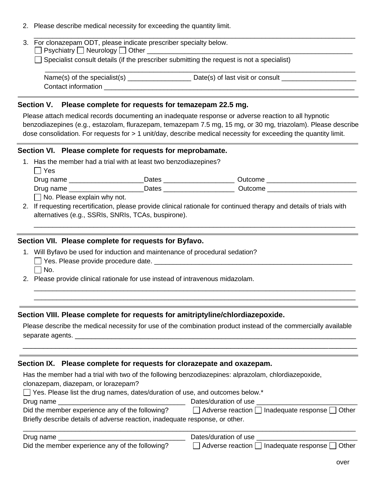2. Please describe medical necessity for exceeding the quantity limit.

| 3. For clonazepam ODT, please indicate prescriber specialty below.<br>$\Box$ Psychiatry $\Box$ Neurology $\Box$ Other |
|-----------------------------------------------------------------------------------------------------------------------|
| $\Box$ Specialist consult details (if the prescriber submitting the request is not a specialist)                      |
| Name(s) of the specialist(s) $\frac{1}{2}$<br>Date(s) of last visit or consult                                        |

### **Section V. Please complete for requests for temazepam 22.5 mg.**

Please attach medical records documenting an inadequate response or adverse reaction to all hypnotic benzodiazepines (e.g., estazolam, flurazepam, temazepam 7.5 mg, 15 mg, or 30 mg, triazolam). Please describe dose consolidation. For requests for > 1 unit/day, describe medical necessity for exceeding the quantity limit.

#### **Section VI. Please complete for requests for meprobamate.**

1. Has the member had a trial with at least two benzodiazepines?

 $\Box$  Yes

Drug name \_\_\_\_\_\_\_\_\_\_\_\_\_\_\_\_\_\_\_\_Dates \_\_\_\_\_\_\_\_\_\_\_\_\_\_\_\_\_\_\_ Outcome \_\_\_\_\_\_\_\_\_\_\_\_\_\_\_\_\_\_\_\_\_\_\_\_

Drug name \_\_\_\_\_\_\_\_\_\_\_\_\_\_\_\_\_\_\_\_Dates \_\_\_\_\_\_\_\_\_\_\_\_\_\_\_\_\_\_\_ Outcome \_\_\_\_\_\_\_\_\_\_\_\_\_\_\_\_\_\_\_\_\_\_\_\_

 $\Box$  No. Please explain why not.

2. If requesting recertification, please provide clinical rationale for continued therapy and details of trials with alternatives (e.g., SSRIs, SNRIs, TCAs, buspirone).

\_\_\_\_\_\_\_\_\_\_\_\_\_\_\_\_\_\_\_\_\_\_\_\_\_\_\_\_\_\_\_\_\_\_\_\_\_\_\_\_\_\_\_\_\_\_\_\_\_\_\_\_\_\_\_\_\_\_\_\_\_\_\_\_\_\_\_\_\_\_\_\_\_\_\_\_\_\_\_\_\_\_\_\_\_\_

\_\_\_\_\_\_\_\_\_\_\_\_\_\_\_\_\_\_\_\_\_\_\_\_\_\_\_\_\_\_\_\_\_\_\_\_\_\_\_\_\_\_\_\_\_\_\_\_\_\_\_\_\_\_\_\_\_\_\_\_\_\_\_\_\_\_\_\_\_\_\_\_\_\_\_\_\_\_\_\_\_\_\_\_\_\_ \_\_\_\_\_\_\_\_\_\_\_\_\_\_\_\_\_\_\_\_\_\_\_\_\_\_\_\_\_\_\_\_\_\_\_\_\_\_\_\_\_\_\_\_\_\_\_\_\_\_\_\_\_\_\_\_\_\_\_\_\_\_\_\_\_\_\_\_\_\_\_\_\_\_\_\_\_\_\_\_\_\_\_\_\_\_

### **Section VII. Please complete for requests for Byfavo.**

- 1. Will Byfavo be used for induction and maintenance of procedural sedation? Yes. Please provide procedure date. \_\_\_\_\_\_\_\_\_\_\_\_\_\_\_\_\_\_\_\_\_\_\_\_\_\_\_\_\_\_\_\_\_\_\_\_\_\_\_\_\_\_\_\_\_\_\_\_\_\_\_\_\_  $\Box$  No.
- 2. Please provide clinical rationale for use instead of intravenous midazolam.

#### **Section VIII. Please complete for requests for amitriptyline/chlordiazepoxide.**

Please describe the medical necessity for use of the combination product instead of the commercially available separate agents. \_\_\_\_\_\_\_\_\_\_\_\_\_\_\_\_\_\_\_\_\_\_\_\_\_\_\_\_\_\_\_\_\_\_\_\_\_\_\_\_\_\_\_\_\_\_\_\_\_\_\_\_\_\_\_\_\_\_\_\_\_\_\_\_\_\_\_\_\_

\_\_\_\_\_\_\_\_\_\_\_\_\_\_\_\_\_\_\_\_\_\_\_\_\_\_\_\_\_\_\_\_\_\_\_\_\_\_\_\_\_\_\_\_\_\_\_\_\_\_\_\_\_\_\_\_\_\_\_\_\_\_\_\_\_\_\_\_\_\_\_\_\_\_\_\_\_\_\_\_\_\_

### **Section IX. Please complete for requests for clorazepate and oxazepam.**

| Has the member had a trial with two of the following benzodiazepines: alprazolam, chlordiazepoxide, |                       |  |
|-----------------------------------------------------------------------------------------------------|-----------------------|--|
| clonazepam, diazepam, or lorazepam?                                                                 |                       |  |
| $\Box$ Yes. Please list the drug names, dates/duration of use, and outcomes below.*                 |                       |  |
| Drug name                                                                                           | Dates/duration of use |  |

| Did the member experience any of the following?                              | $\Box$ Adverse reaction $\Box$ Inadequate response $\Box$ Other |
|------------------------------------------------------------------------------|-----------------------------------------------------------------|
| Briefly describe details of adverse reaction, inadequate response, or other. |                                                                 |

| Drug name                                       | Dates/duration of use                                           |
|-------------------------------------------------|-----------------------------------------------------------------|
| Did the member experience any of the following? | $\Box$ Adverse reaction $\Box$ Inadequate response $\Box$ Other |

\_\_\_\_\_\_\_\_\_\_\_\_\_\_\_\_\_\_\_\_\_\_\_\_\_\_\_\_\_\_\_\_\_\_\_\_\_\_\_\_\_\_\_\_\_\_\_\_\_\_\_\_\_\_\_\_\_\_\_\_\_\_\_\_\_\_\_\_\_\_\_\_\_\_\_\_\_\_\_\_\_\_\_\_\_\_\_\_\_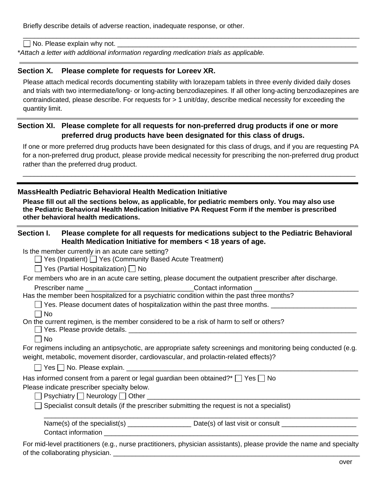Briefly describe details of adverse reaction, inadequate response, or other.

 $\Box$  No. Please explain why not.

\**Attach a letter with additional information regarding medication trials as applicable.*

### **Section X. Please complete for requests for Loreev XR.**

Please attach medical records documenting stability with lorazepam tablets in three evenly divided daily doses and trials with two intermediate/long- or long-acting benzodiazepines. If all other long-acting benzodiazepines are contraindicated, please describe. For requests for > 1 unit/day, describe medical necessity for exceeding the quantity limit.

\_\_\_\_\_\_\_\_\_\_\_\_\_\_\_\_\_\_\_\_\_\_\_\_\_\_\_\_\_\_\_\_\_\_\_\_\_\_\_\_\_\_\_\_\_\_\_\_\_\_\_\_\_\_\_\_\_\_\_\_\_\_\_\_\_\_\_\_\_\_\_\_\_\_\_\_\_\_\_\_\_\_\_\_\_\_\_\_\_\_

# **Section XI. Please complete for all requests for non-preferred drug products if one or more preferred drug products have been designated for this class of drugs.**

If one or more preferred drug products have been designated for this class of drugs, and if you are requesting PA for a non-preferred drug product, please provide medical necessity for prescribing the non-preferred drug product rather than the preferred drug product.

\_\_\_\_\_\_\_\_\_\_\_\_\_\_\_\_\_\_\_\_\_\_\_\_\_\_\_\_\_\_\_\_\_\_\_\_\_\_\_\_\_\_\_\_\_\_\_\_\_\_\_\_\_\_\_\_\_\_\_\_\_\_\_\_\_\_\_\_\_\_\_\_\_\_\_\_\_\_\_\_\_\_\_\_\_\_\_\_\_

## **MassHealth Pediatric Behavioral Health Medication Initiative**

**Please fill out all the sections below, as applicable, for pediatric members only. You may also use the [Pediatric Behavioral Health Medication Initiative PA Request Form](https://mhdl.pharmacy.services.conduent.com/MHDL/pubpa.do) if the member is prescribed other behavioral health medications.**

## **Section I. Please complete for all requests for medications subject to the Pediatric Behavioral Health Medication Initiative for members < 18 years of age.**

Is the member currently in an acute care setting?

 $\Box$  Yes (Inpatient)  $\Box$  Yes (Community Based Acute Treatment)

 $\Box$  Yes (Partial Hospitalization)  $\Box$  No

For members who are in an acute care setting, please document the outpatient prescriber after discharge.

Prescriber name the contact information  $\blacksquare$ 

Has the member been hospitalized for a psychiatric condition within the past three months?

 $\Box$  Yes. Please document dates of hospitalization within the past three months.

 $\Box$  No

On the current regimen, is the member considered to be a risk of harm to self or others?

Yes. Please provide details. \_\_\_\_\_\_\_\_\_\_\_\_\_\_\_\_\_\_\_\_\_\_\_\_\_\_\_\_\_\_\_\_\_\_\_\_\_\_\_\_\_\_\_\_\_\_\_\_\_\_\_\_\_\_\_\_\_\_\_\_\_

 $\Box$  No

For regimens including an antipsychotic, are appropriate safety screenings and monitoring being conducted (e.g. weight, metabolic, movement disorder, cardiovascular, and prolactin-related effects)?

 $\Box$  Yes  $\Box$  No. Please explain.

| Has informed consent from a parent or legal guardian been obtained?* $\Box$ Yes $\Box$ No |  |
|-------------------------------------------------------------------------------------------|--|
| Please indicate prescriber specialty below.                                               |  |

 $\Box$  Psychiatry  $\Box$  Neurology  $\Box$  Other  $\Box$ 

 $\Box$  Specialist consult details (if the prescriber submitting the request is not a specialist)

| Name(s) of the specialist(s) | Date(s) of last visit or consult |
|------------------------------|----------------------------------|
| Contact information          |                                  |

\_\_\_\_\_\_\_\_\_\_\_\_\_\_\_\_\_\_\_\_\_\_\_\_\_\_\_\_\_\_\_\_\_\_\_\_\_\_\_\_\_\_\_\_\_\_\_\_\_\_\_\_\_\_\_\_\_\_\_\_\_\_\_\_\_\_\_\_\_\_\_\_\_\_\_\_\_\_\_\_\_\_\_\_

For mid-level practitioners (e.g., nurse practitioners, physician assistants), please provide the name and specialty of the collaborating physician.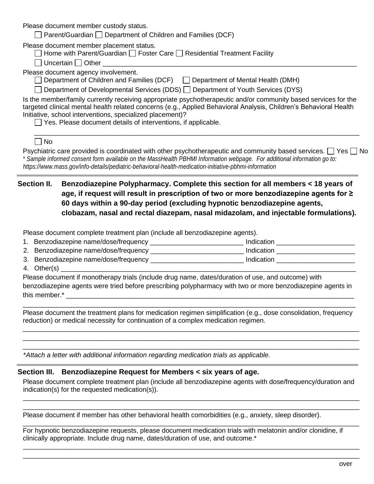Please document member custody status.

| $\Box$ Parent/Guardian $\Box$ Department of Children and Families (DCF) |  |
|-------------------------------------------------------------------------|--|
|-------------------------------------------------------------------------|--|

Please document member placement status.

|  | $\Box$ Home with Parent/Guardian $\Box$ Foster Care $\Box$ Residential Treatment Facility |
|--|-------------------------------------------------------------------------------------------|
|--|-------------------------------------------------------------------------------------------|

 $\Box$  Uncertain  $\Box$  Other

Please document agency involvement.

 $\Box$  Department of Children and Families (DCF)  $\Box$  Department of Mental Health (DMH)

 $\Box$  Department of Developmental Services (DDS)  $\Box$  Department of Youth Services (DYS)

| Is the member/family currently receiving appropriate psychotherapeutic and/or community based services for the    |
|-------------------------------------------------------------------------------------------------------------------|
| targeted clinical mental health related concerns (e.g., Applied Behavioral Analysis, Children's Behavioral Health |
| Initiative, school interventions, specialized placement)?                                                         |

 $\Box$  Yes. Please document details of interventions, if applicable.

Psychiatric care provided is coordinated with other psychotherapeutic and community based services.  $\Box$  Yes  $\Box$  No \* *Sample informed consent form available on the MassHealth PBHMI Information webpage. For additional information go to: https://www.mass.gov/info-details/pediatric-behavioral-health-medication-initiative-pbhmi-information*

\_\_\_\_\_\_\_\_\_\_\_\_\_\_\_\_\_\_\_\_\_\_\_\_\_\_\_\_\_\_\_\_\_\_\_\_\_\_\_\_\_\_\_\_\_\_\_\_\_\_\_\_\_\_\_\_\_\_\_\_\_\_\_\_\_\_\_\_\_\_\_\_\_\_\_\_\_\_\_\_\_\_\_\_\_\_\_

# **Section II. Benzodiazepine Polypharmacy. Complete this section for all members < 18 years of age, if request will result in prescription of two or more benzodiazepine agents for ≥ 60 days within a 90-day period (excluding hypnotic benzodiazepine agents, clobazam, nasal and rectal diazepam, nasal midazolam, and injectable formulations).**

Please document complete treatment plan (include all benzodiazepine agents).

- 1. Benzodiazepine name/dose/frequency \_\_\_\_\_\_\_\_\_\_\_\_\_\_\_\_\_\_\_\_\_\_\_\_\_ Indication \_\_\_\_\_\_\_\_\_\_\_\_\_\_\_\_\_\_\_\_\_
- 2. Benzodiazepine name/dose/frequency \_\_\_\_\_\_\_\_\_\_\_\_\_\_\_\_\_\_\_\_\_\_\_\_\_\_\_\_\_\_\_\_ Indication \_\_\_\_\_\_\_\_\_\_\_\_\_\_\_\_\_\_\_\_\_\_\_\_\_\_\_
- 3. Benzodiazepine name/dose/frequency example and the lindication distribution of the same of the same of the s
- 4. Other(s)  $\_$

Please document if monotherapy trials (include drug name, dates/duration of use, and outcome) with benzodiazepine agents were tried before prescribing polypharmacy with two or more benzodiazepine agents in this member.\* \_\_\_\_\_\_\_\_\_\_\_\_\_\_\_\_\_\_\_\_\_\_\_\_\_\_\_\_\_\_\_\_\_\_\_\_\_\_\_\_\_\_\_\_\_\_\_\_\_\_\_\_\_\_\_\_\_\_\_\_\_\_\_\_\_\_\_\_\_\_\_\_\_\_\_\_\_

Please document the treatment plans for medication regimen simplification (e.g., dose consolidation, frequency reduction) or medical necessity for continuation of a complex medication regimen.

\_\_\_\_\_\_\_\_\_\_\_\_\_\_\_\_\_\_\_\_\_\_\_\_\_\_\_\_\_\_\_\_\_\_\_\_\_\_\_\_\_\_\_\_\_\_\_\_\_\_\_\_\_\_\_\_\_\_\_\_\_\_\_\_\_\_\_\_\_\_\_\_\_\_\_\_\_\_\_\_\_\_\_\_\_\_\_\_\_\_ \_\_\_\_\_\_\_\_\_\_\_\_\_\_\_\_\_\_\_\_\_\_\_\_\_\_\_\_\_\_\_\_\_\_\_\_\_\_\_\_\_\_\_\_\_\_\_\_\_\_\_\_\_\_\_\_\_\_\_\_\_\_\_\_\_\_\_\_\_\_\_\_\_\_\_\_\_\_\_\_\_\_\_\_\_\_\_\_\_\_ \_\_\_\_\_\_\_\_\_\_\_\_\_\_\_\_\_\_\_\_\_\_\_\_\_\_\_\_\_\_\_\_\_\_\_\_\_\_\_\_\_\_\_\_\_\_\_\_\_\_\_\_\_\_\_\_\_\_\_\_\_\_\_\_\_\_\_\_\_\_\_\_\_\_\_\_\_\_\_\_\_\_\_\_\_\_\_\_\_\_

\_\_\_\_\_\_\_\_\_\_\_\_\_\_\_\_\_\_\_\_\_\_\_\_\_\_\_\_\_\_\_\_\_\_\_\_\_\_\_\_\_\_\_\_\_\_\_\_\_\_\_\_\_\_\_\_\_\_\_\_\_\_\_\_\_\_\_\_\_\_\_\_\_\_\_\_\_\_\_\_\_\_\_\_\_\_\_\_\_

\**Attach a letter with additional information regarding medication trials as applicable.*

# **Section III. Benzodiazepine Request for Members < six years of age.**

Please document complete treatment plan (include all benzodiazepine agents with dose/frequency/duration and indication(s) for the requested medication(s)).

\_\_\_\_\_\_\_\_\_\_\_\_\_\_\_\_\_\_\_\_\_\_\_\_\_\_\_\_\_\_\_\_\_\_\_\_\_\_\_\_\_\_\_\_\_\_\_\_\_\_\_\_\_\_\_\_\_\_\_\_\_\_\_\_\_\_\_\_\_\_\_\_\_\_\_\_\_\_\_\_\_\_\_\_\_\_\_\_\_\_ \_\_\_\_\_\_\_\_\_\_\_\_\_\_\_\_\_\_\_\_\_\_\_\_\_\_\_\_\_\_\_\_\_\_\_\_\_\_\_\_\_\_\_\_\_\_\_\_\_\_\_\_\_\_\_\_\_\_\_\_\_\_\_\_\_\_\_\_\_\_\_\_\_\_\_\_\_\_\_\_\_\_\_\_\_\_\_\_\_\_

\_\_\_\_\_\_\_\_\_\_\_\_\_\_\_\_\_\_\_\_\_\_\_\_\_\_\_\_\_\_\_\_\_\_\_\_\_\_\_\_\_\_\_\_\_\_\_\_\_\_\_\_\_\_\_\_\_\_\_\_\_\_\_\_\_\_\_\_\_\_\_\_\_\_\_\_\_\_\_\_\_\_\_\_\_\_\_\_\_\_ \_\_\_\_\_\_\_\_\_\_\_\_\_\_\_\_\_\_\_\_\_\_\_\_\_\_\_\_\_\_\_\_\_\_\_\_\_\_\_\_\_\_\_\_\_\_\_\_\_\_\_\_\_\_\_\_\_\_\_\_\_\_\_\_\_\_\_\_\_\_\_\_\_\_\_\_\_\_\_\_\_\_\_\_\_\_\_\_\_\_

Please document if member has other behavioral health comorbidities (e.g., anxiety, sleep disorder). \_\_\_\_\_\_\_\_\_\_\_\_\_\_\_\_\_\_\_\_\_\_\_\_\_\_\_\_\_\_\_\_\_\_\_\_\_\_\_\_\_\_\_\_\_\_\_\_\_\_\_\_\_\_\_\_\_\_\_\_\_\_\_\_\_\_\_\_\_\_\_\_\_\_\_\_\_\_\_\_\_\_\_\_\_\_\_\_\_\_

For hypnotic benzodiazepine requests, please document medication trials with melatonin and/or clonidine, if clinically appropriate. Include drug name, dates/duration of use, and outcome.\*